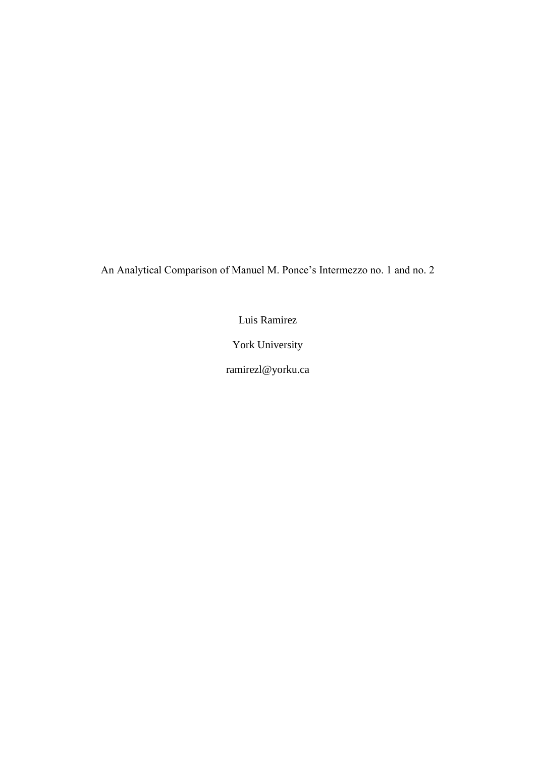An Analytical Comparison of Manuel M. Ponce's Intermezzo no. 1 and no. 2

Luis Ramirez

York University

ramirezl@yorku.ca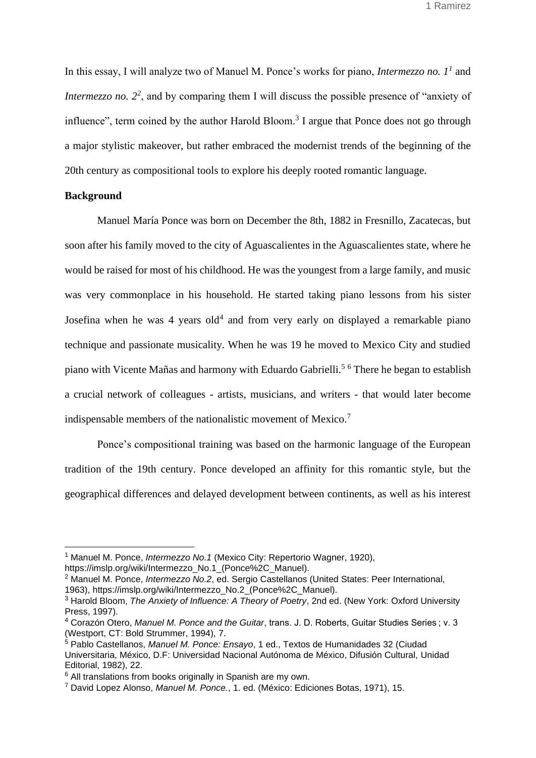In this essay, I will analyze two of Manuel M. Ponce's works for piano, *Intermezzo no. 1<sup>1</sup>* and *Intermezzo no.* 2<sup>2</sup>, and by comparing them I will discuss the possible presence of "anxiety of influence", term coined by the author Harold Bloom.<sup>3</sup> I argue that Ponce does not go through a major stylistic makeover, but rather embraced the modernist trends of the beginning of the 20th century as compositional tools to explore his deeply rooted romantic language.

### **Background**

Manuel María Ponce was born on December the 8th, 1882 in Fresnillo, Zacatecas, but soon after his family moved to the city of Aguascalientes in the Aguascalientes state, where he would be raised for most of his childhood. He was the youngest from a large family, and music was very commonplace in his household. He started taking piano lessons from his sister Josefina when he was  $4$  years old<sup>4</sup> and from very early on displayed a remarkable piano technique and passionate musicality. When he was 19 he moved to Mexico City and studied piano with Vicente Mañas and harmony with Eduardo Gabrielli.<sup>5</sup> <sup>6</sup> There he began to establish a crucial network of colleagues - artists, musicians, and writers - that would later become indispensable members of the nationalistic movement of Mexico.<sup>7</sup>

Ponce's compositional training was based on the harmonic language of the European tradition of the 19th century. Ponce developed an affinity for this romantic style, but the geographical differences and delayed development between continents, as well as his interest

<sup>1</sup> [Manuel M. Ponce,](https://www.zotero.org/google-docs/?3RVNQH) *[Intermezzo No.1](https://www.zotero.org/google-docs/?3RVNQH)* [\(Mexico City: Repertorio Wagner, 1920\),](https://www.zotero.org/google-docs/?3RVNQH)

[https://imslp.org/wiki/Intermezzo\\_No.1\\_\(Ponce%2C\\_Manuel\).](https://www.zotero.org/google-docs/?3RVNQH)

<sup>2</sup> [Manuel M. Ponce,](https://www.zotero.org/google-docs/?5BAGZX) *[Intermezzo No.2](https://www.zotero.org/google-docs/?5BAGZX)*[, ed. Sergio Castellanos \(United States: Peer International,](https://www.zotero.org/google-docs/?5BAGZX) 

[<sup>1963\),</sup> https://imslp.org/wiki/Intermezzo\\_No.2\\_\(Ponce%2C\\_Manuel\).](https://www.zotero.org/google-docs/?5BAGZX)

<sup>3</sup> [Harold Bloom,](https://www.zotero.org/google-docs/?hjDS39) *[The Anxiety of Influence: A Theory of Poetry](https://www.zotero.org/google-docs/?hjDS39)*[, 2nd ed. \(New York: Oxford University](https://www.zotero.org/google-docs/?hjDS39)  [Press, 1997\).](https://www.zotero.org/google-docs/?hjDS39)

<sup>4</sup> [Corazón Otero,](https://www.zotero.org/google-docs/?wxI3JY) *[Manuel M. Ponce and the Guitar](https://www.zotero.org/google-docs/?wxI3JY)*[, trans. J. D. Roberts, Guitar Studies Series ; v. 3](https://www.zotero.org/google-docs/?wxI3JY)  [\(Westport, CT: Bold Strummer, 1994\), 7.](https://www.zotero.org/google-docs/?wxI3JY)

<sup>5</sup> [Pablo Castellanos,](https://www.zotero.org/google-docs/?X4KfPm) *[Manuel M. Ponce: Ensayo](https://www.zotero.org/google-docs/?X4KfPm)*[, 1 ed., Textos de Humanidades 32 \(Ciudad](https://www.zotero.org/google-docs/?X4KfPm)  [Universitaria, México, D.F: Universidad Nacional Autónoma de México, Difusión Cultural,](https://www.zotero.org/google-docs/?X4KfPm) Unidad [Editorial, 1982\), 22.](https://www.zotero.org/google-docs/?X4KfPm)

 $6$  All translations from books originally in Spanish are my own.

<sup>7</sup> [David Lopez Alonso,](https://www.zotero.org/google-docs/?SmWKTf) *[Manuel M. Ponce.](https://www.zotero.org/google-docs/?SmWKTf)*[, 1. ed. \(México: Ediciones Botas, 1971\), 15.](https://www.zotero.org/google-docs/?SmWKTf)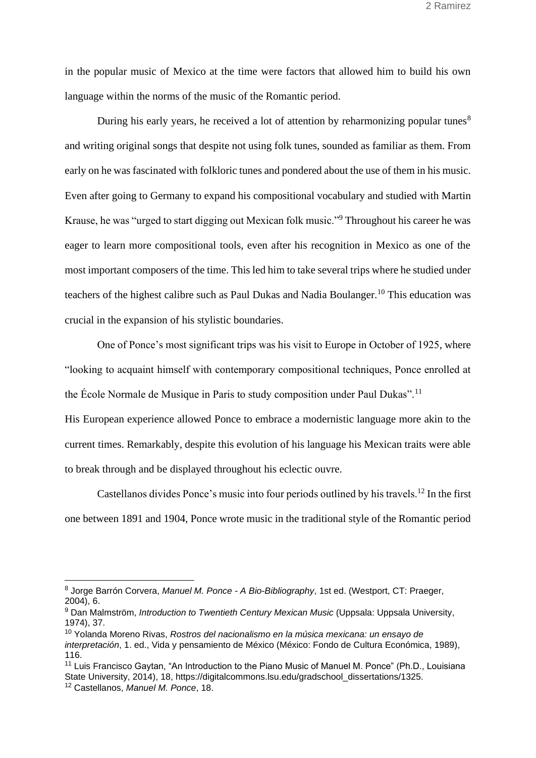in the popular music of Mexico at the time were factors that allowed him to build his own language within the norms of the music of the Romantic period.

During his early years, he received a lot of attention by reharmonizing popular tunes $8$ and writing original songs that despite not using folk tunes, sounded as familiar as them. From early on he was fascinated with folkloric tunes and pondered about the use of them in his music. Even after going to Germany to expand his compositional vocabulary and studied with Martin Krause, he was "urged to start digging out Mexican folk music."<sup>9</sup> Throughout his career he was eager to learn more compositional tools, even after his recognition in Mexico as one of the most important composers of the time. This led him to take several trips where he studied under teachers of the highest calibre such as Paul Dukas and Nadia Boulanger.<sup>10</sup> This education was crucial in the expansion of his stylistic boundaries.

One of Ponce's most significant trips was his visit to Europe in October of 1925, where "looking to acquaint himself with contemporary compositional techniques, Ponce enrolled at the École Normale de Musique in Paris to study composition under Paul Dukas".<sup>11</sup>

His European experience allowed Ponce to embrace a modernistic language more akin to the current times. Remarkably, despite this evolution of his language his Mexican traits were able to break through and be displayed throughout his eclectic ouvre.

Castellanos divides Ponce's music into four periods outlined by his travels.<sup>12</sup> In the first one between 1891 and 1904, Ponce wrote music in the traditional style of the Romantic period

<sup>8</sup> [Jorge Barrón Corvera,](https://www.zotero.org/google-docs/?1Ewuh4) *[Manuel M. Ponce -](https://www.zotero.org/google-docs/?1Ewuh4) A Bio-Bibliography*[, 1st ed. \(Westport, CT: Praeger,](https://www.zotero.org/google-docs/?1Ewuh4)  [2004\), 6.](https://www.zotero.org/google-docs/?1Ewuh4)

<sup>9</sup> [Dan Malmström,](https://www.zotero.org/google-docs/?lzgdVB) *[Introduction to Twentieth Century Mexican Music](https://www.zotero.org/google-docs/?lzgdVB)* [\(Uppsala: Uppsala University,](https://www.zotero.org/google-docs/?lzgdVB)  [1974\), 37.](https://www.zotero.org/google-docs/?lzgdVB)

<sup>10</sup> [Yolanda Moreno Rivas,](https://www.zotero.org/google-docs/?OSkEHK) *[Rostros del nacionalismo en la música mexicana: un ensayo de](https://www.zotero.org/google-docs/?OSkEHK)  [interpretación](https://www.zotero.org/google-docs/?OSkEHK)*[, 1. ed., Vida y pensamiento de México \(México: Fondo de Cultura Económica, 1989\),](https://www.zotero.org/google-docs/?OSkEHK)  [116.](https://www.zotero.org/google-docs/?OSkEHK)

<sup>11</sup> Luis Francisco Gaytan, "An Introduction to the Piano Music of Manuel M. Ponce" (Ph.D., Louisiana State University, 2014), 18, https://digitalcommons.lsu.edu/gradschool\_dissertations/1325.

<sup>12</sup> [Castellanos,](https://www.zotero.org/google-docs/?EtJIPP) *[Manuel M. Ponce](https://www.zotero.org/google-docs/?EtJIPP)*[, 18.](https://www.zotero.org/google-docs/?EtJIPP)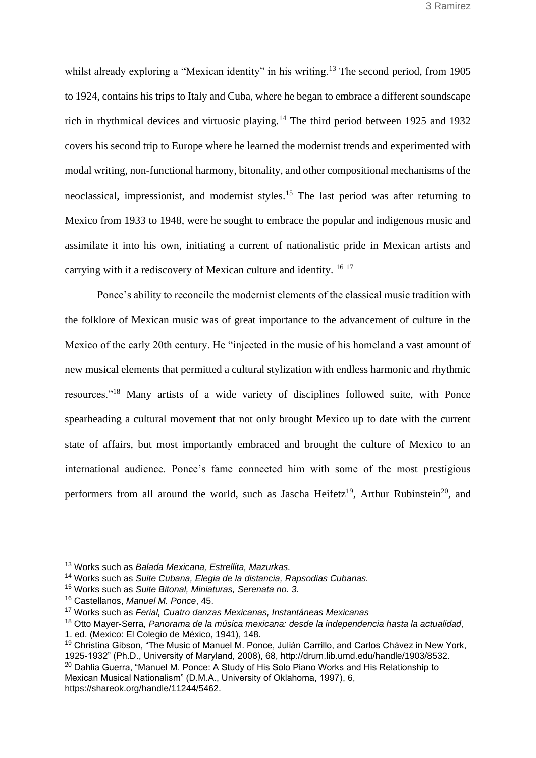whilst already exploring a "Mexican identity" in his writing.<sup>13</sup> The second period, from 1905 to 1924, contains his trips to Italy and Cuba, where he began to embrace a different soundscape rich in rhythmical devices and virtuosic playing.<sup>14</sup> The third period between 1925 and 1932 covers his second trip to Europe where he learned the modernist trends and experimented with modal writing, non-functional harmony, bitonality, and other compositional mechanisms of the neoclassical, impressionist, and modernist styles.<sup>15</sup> The last period was after returning to Mexico from 1933 to 1948, were he sought to embrace the popular and indigenous music and assimilate it into his own, initiating a current of nationalistic pride in Mexican artists and carrying with it a rediscovery of Mexican culture and identity. <sup>16</sup> <sup>17</sup>

Ponce's ability to reconcile the modernist elements of the classical music tradition with the folklore of Mexican music was of great importance to the advancement of culture in the Mexico of the early 20th century. He "injected in the music of his homeland a vast amount of new musical elements that permitted a cultural stylization with endless harmonic and rhythmic resources."<sup>18</sup> Many artists of a wide variety of disciplines followed suite, with Ponce spearheading a cultural movement that not only brought Mexico up to date with the current state of affairs, but most importantly embraced and brought the culture of Mexico to an international audience. Ponce's fame connected him with some of the most prestigious performers from all around the world, such as Jascha Heifetz<sup>19</sup>, Arthur Rubinstein<sup>20</sup>, and

[https://shareok.org/handle/11244/5462.](https://www.zotero.org/google-docs/?RXduhs)

<sup>13</sup> Works such as *Balada Mexicana, Estrellita, Mazurkas.*

<sup>14</sup> Works such as *Suite Cubana, Elegia de la distancia, Rapsodias Cubanas.*

<sup>15</sup> Works such as *Suite Bitonal, Miniaturas, Serenata no. 3.*

<sup>16</sup> [Castellanos,](https://www.zotero.org/google-docs/?tbPIgc) *[Manuel M. Ponce](https://www.zotero.org/google-docs/?tbPIgc)*[, 45.](https://www.zotero.org/google-docs/?tbPIgc)

<sup>17</sup> Works such as *Ferial, Cuatro danzas Mexicanas, Instantáneas Mexicanas*

<sup>18</sup> [Otto Mayer-Serra,](https://www.zotero.org/google-docs/?KM3KMl) *[Panorama de la música mexicana: desde la independencia hasta la actualidad](https://www.zotero.org/google-docs/?KM3KMl)*[,](https://www.zotero.org/google-docs/?KM3KMl)  1. ed. (Mexico: [El Colegio de México, 1941\), 148.](https://www.zotero.org/google-docs/?KM3KMl)

<sup>&</sup>lt;sup>19</sup> Christina Gibson, "The Music of Manuel M. Ponce, Julián Carrillo, and Carlos Chávez in New York, [1925-1932" \(Ph.D., University of Maryland, 2008\), 68, http://drum.lib.umd.edu/handle/1903/8532.](https://www.zotero.org/google-docs/?FhBWbk) <sup>20</sup> Dahlia Guerra, "Manuel M. Ponce: A Study of His Solo Piano Works and His Relationship to [Mexican Musical Nationalism" \(D.M.A., University of Oklahoma, 1997\), 6,](https://www.zotero.org/google-docs/?RXduhs)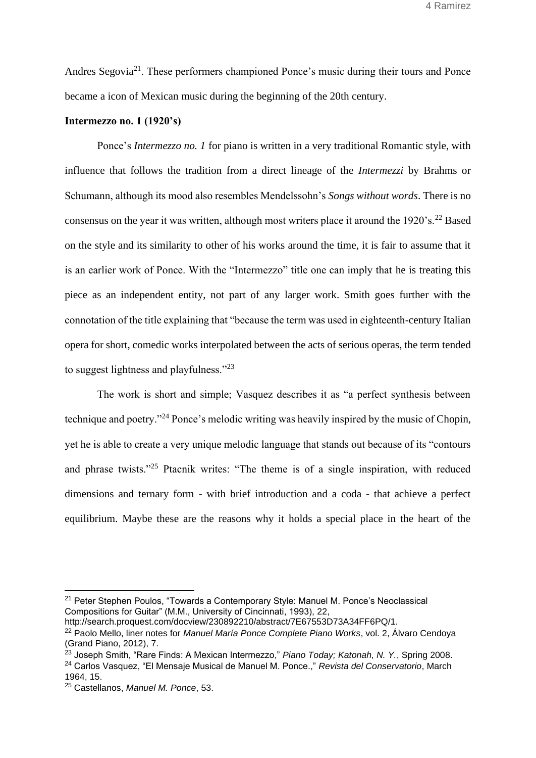Andres Segovia<sup>21</sup>. These performers championed Ponce's music during their tours and Ponce became a icon of Mexican music during the beginning of the 20th century.

### **Intermezzo no. 1 (1920's)**

Ponce's *Intermezzo no. 1* for piano is written in a very traditional Romantic style, with influence that follows the tradition from a direct lineage of the *Intermezzi* by Brahms or Schumann, although its mood also resembles Mendelssohn's *Songs without words*. There is no consensus on the year it was written, although most writers place it around the 1920's.<sup>22</sup> Based on the style and its similarity to other of his works around the time, it is fair to assume that it is an earlier work of Ponce. With the "Intermezzo" title one can imply that he is treating this piece as an independent entity, not part of any larger work. Smith goes further with the connotation of the title explaining that "because the term was used in eighteenth-century Italian opera for short, comedic works interpolated between the acts of serious operas, the term tended to suggest lightness and playfulness."<sup>23</sup>

The work is short and simple; Vasquez describes it as "a perfect synthesis between technique and poetry."<sup>24</sup> Ponce's melodic writing was heavily inspired by the music of Chopin, yet he is able to create a very unique melodic language that stands out because of its "contours and phrase twists."<sup>25</sup> Ptacnik writes: "The theme is of a single inspiration, with reduced dimensions and ternary form - with brief introduction and a coda - that achieve a perfect equilibrium. Maybe these are the reasons why it holds a special place in the heart of the

<sup>21</sup> [Peter Stephen Poulos, "Towards a Contemporary Style: Manuel M. Ponce's Neoclassical](https://www.zotero.org/google-docs/?8VAi6p)  [Compositions for Guitar" \(M.M., University of Cincinnati, 1993\),](https://www.zotero.org/google-docs/?8VAi6p) 22,

[http://search.proquest.com/docview/230892210/abstract/7E67553D73A34FF6PQ/1.](https://www.zotero.org/google-docs/?8VAi6p)

<sup>22</sup> Paolo Mello, liner notes for *[Manuel María Ponce Complete Piano Works](https://www.zotero.org/google-docs/?b9RoOg)*[, vol. 2, Álvaro Cendoya](https://www.zotero.org/google-docs/?b9RoOg)  [\(Grand Piano, 2012\), 7.](https://www.zotero.org/google-docs/?b9RoOg)

<sup>&</sup>lt;sup>23</sup> [Joseph Smith, "Rare Finds: A Mexican Intermezzo,"](https://www.zotero.org/google-docs/?yn4PVZ) [Piano Today; Katonah, N. Y.](https://www.zotero.org/google-docs/?yn4PVZ)[, Spring 2008.](https://www.zotero.org/google-docs/?yn4PVZ) <sup>24</sup> [Carlos Vasquez, "El Mensaje Musical de Manuel M. Ponce.,"](https://www.zotero.org/google-docs/?A6AV9B) *[Revista del Conservatorio](https://www.zotero.org/google-docs/?A6AV9B)*[, March](https://www.zotero.org/google-docs/?A6AV9B)  [1964, 15.](https://www.zotero.org/google-docs/?A6AV9B)

<sup>25</sup> [Castellanos,](https://www.zotero.org/google-docs/?V3hEFE) *[Manuel M. Ponce](https://www.zotero.org/google-docs/?V3hEFE)*[, 53.](https://www.zotero.org/google-docs/?V3hEFE)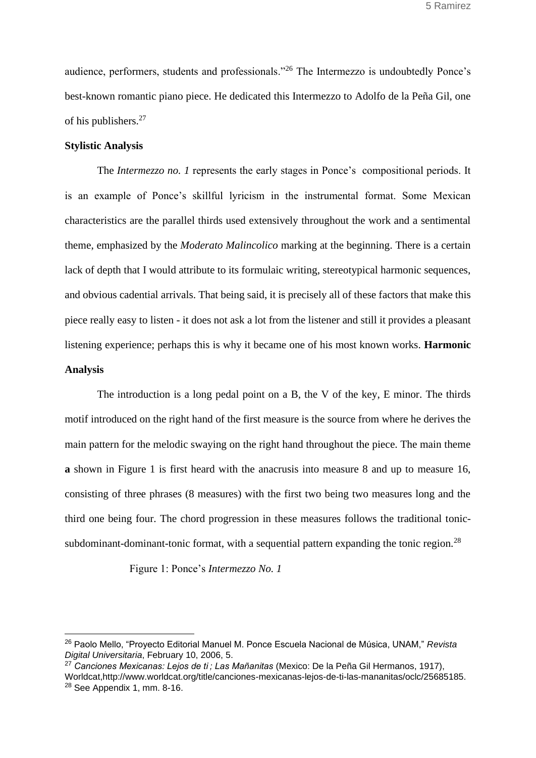audience, performers, students and professionals."<sup>26</sup> The Intermezzo is undoubtedly Ponce's best-known romantic piano piece. He dedicated this Intermezzo to Adolfo de la Peña Gil, one of his publishers.<sup>27</sup>

### **Stylistic Analysis**

The *Intermezzo no. 1* represents the early stages in Ponce's compositional periods. It is an example of Ponce's skillful lyricism in the instrumental format. Some Mexican characteristics are the parallel thirds used extensively throughout the work and a sentimental theme, emphasized by the *Moderato Malincolico* marking at the beginning. There is a certain lack of depth that I would attribute to its formulaic writing, stereotypical harmonic sequences, and obvious cadential arrivals. That being said, it is precisely all of these factors that make this piece really easy to listen - it does not ask a lot from the listener and still it provides a pleasant listening experience; perhaps this is why it became one of his most known works. **Harmonic Analysis**

The introduction is a long pedal point on a B, the V of the key, E minor. The thirds motif introduced on the right hand of the first measure is the source from where he derives the main pattern for the melodic swaying on the right hand throughout the piece. The main theme **a** shown in Figure 1 is first heard with the anacrusis into measure 8 and up to measure 16, consisting of three phrases (8 measures) with the first two being two measures long and the third one being four. The chord progression in these measures follows the traditional tonicsubdominant-dominant-tonic format, with a sequential pattern expanding the tonic region.<sup>28</sup>

Figure 1: Ponce's *Intermezzo No. 1*

<sup>26</sup> [Paolo Mello, "Proyecto Editorial](https://www.zotero.org/google-docs/?k4tYZl) [Manuel M. Ponce Escuela Nacional de Música, UNAM,"](https://www.zotero.org/google-docs/?k4tYZl) *[Revista](https://www.zotero.org/google-docs/?k4tYZl)  [Digital Universitaria](https://www.zotero.org/google-docs/?k4tYZl)*[, February 10, 2006, 5.](https://www.zotero.org/google-docs/?k4tYZl)

<sup>27</sup> *[Canciones Mexicanas: Lejos de ti ; Las Mañanitas](https://www.zotero.org/google-docs/?LVHAIL)* [\(Mexico: De la Peña Gil Hermanos, 1917\),](https://www.zotero.org/google-docs/?LVHAIL)  [Worldcat,http://www.worldcat.org/title/canciones-mexicanas-lejos-de-ti-las-mananitas/oclc/25685185.](https://www.zotero.org/google-docs/?LVHAIL) <sup>28</sup> See Appendix 1, mm. 8-16.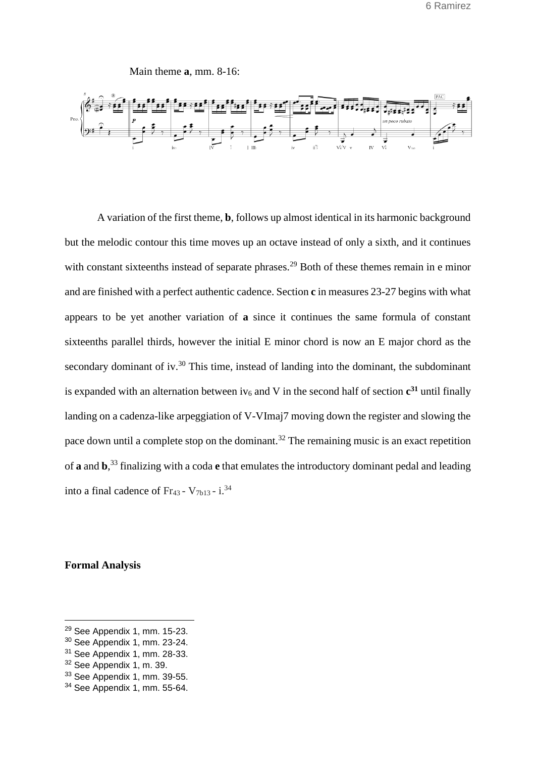Main theme **a**, mm. 8-16:



A variation of the first theme, **b**, follows up almost identical in its harmonic background but the melodic contour this time moves up an octave instead of only a sixth, and it continues with constant sixteenths instead of separate phrases.<sup>29</sup> Both of these themes remain in e minor and are finished with a perfect authentic cadence. Section **c** in measures 23-27 begins with what appears to be yet another variation of **a** since it continues the same formula of constant sixteenths parallel thirds, however the initial E minor chord is now an E major chord as the secondary dominant of iv.<sup>30</sup> This time, instead of landing into the dominant, the subdominant is expanded with an alternation between iv<sub>6</sub> and V in the second half of section  $c^{31}$  until finally landing on a cadenza-like arpeggiation of V-VImaj7 moving down the register and slowing the pace down until a complete stop on the dominant.<sup>32</sup> The remaining music is an exact repetition of **a** and **b**, <sup>33</sup> finalizing with a coda **e** that emulates the introductory dominant pedal and leading into a final cadence of Fr<sub>43</sub> -  $V_{7b13}$  - i.<sup>34</sup>

**Formal Analysis**

<sup>29</sup> See Appendix 1, mm. 15-23.

<sup>30</sup> See Appendix 1, mm. 23-24.

<sup>31</sup> See Appendix 1, mm. 28-33.

<sup>32</sup> See Appendix 1, m. 39.

<sup>33</sup> See Appendix 1, mm. 39-55.

<sup>34</sup> See Appendix 1, mm. 55-64.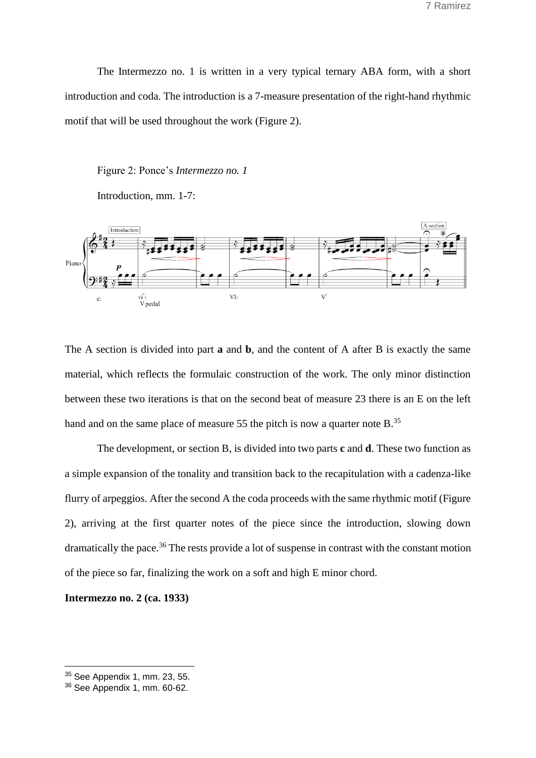The Intermezzo no. 1 is written in a very typical ternary ABA form, with a short introduction and coda. The introduction is a 7-measure presentation of the right-hand rhythmic motif that will be used throughout the work (Figure 2).

Figure 2: Ponce's *Intermezzo no. 1*

Introduction, mm. 1-7:



The A section is divided into part **a** and **b**, and the content of A after B is exactly the same material, which reflects the formulaic construction of the work. The only minor distinction between these two iterations is that on the second beat of measure 23 there is an E on the left hand and on the same place of measure 55 the pitch is now a quarter note B.<sup>35</sup>

The development, or section B, is divided into two parts **c** and **d**. These two function as a simple expansion of the tonality and transition back to the recapitulation with a cadenza-like flurry of arpeggios. After the second A the coda proceeds with the same rhythmic motif (Figure 2), arriving at the first quarter notes of the piece since the introduction, slowing down dramatically the pace.<sup>36</sup> The rests provide a lot of suspense in contrast with the constant motion of the piece so far, finalizing the work on a soft and high E minor chord.

**Intermezzo no. 2 (ca. 1933)**

<sup>35</sup> See Appendix 1, mm. 23, 55.

<sup>36</sup> See Appendix 1, mm. 60-62.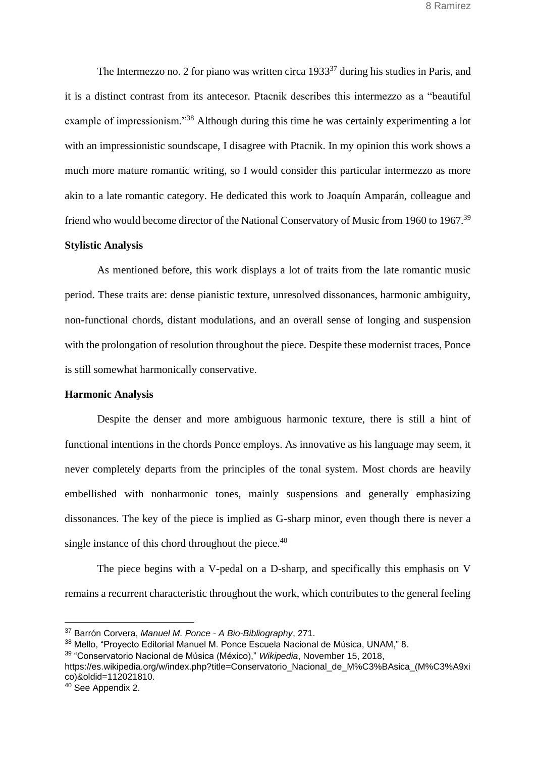The Intermezzo no. 2 for piano was written circa  $1933^{37}$  during his studies in Paris, and it is a distinct contrast from its antecesor. Ptacnik describes this intermezzo as a "beautiful example of impressionism."<sup>38</sup> Although during this time he was certainly experimenting a lot with an impressionistic soundscape, I disagree with Ptacnik. In my opinion this work shows a much more mature romantic writing, so I would consider this particular intermezzo as more akin to a late romantic category. He dedicated this work to Joaquín Amparán, colleague and friend who would become director of the National Conservatory of Music from 1960 to 1967.<sup>39</sup>

### **Stylistic Analysis**

As mentioned before, this work displays a lot of traits from the late romantic music period. These traits are: dense pianistic texture, unresolved dissonances, harmonic ambiguity, non-functional chords, distant modulations, and an overall sense of longing and suspension with the prolongation of resolution throughout the piece. Despite these modernist traces, Ponce is still somewhat harmonically conservative.

### **Harmonic Analysis**

Despite the denser and more ambiguous harmonic texture, there is still a hint of functional intentions in the chords Ponce employs. As innovative as his language may seem, it never completely departs from the principles of the tonal system. Most chords are heavily embellished with nonharmonic tones, mainly suspensions and generally emphasizing dissonances. The key of the piece is implied as G-sharp minor, even though there is never a single instance of this chord throughout the piece.<sup>40</sup>

The piece begins with a V-pedal on a D-sharp, and specifically this emphasis on V remains a recurrent characteristic throughout the work, which contributes to the general feeling

[https://es.wikipedia.org/w/index.php?title=Conservatorio\\_Nacional\\_de\\_M%C3%BAsica\\_\(M%C3%A9xi](https://www.zotero.org/google-docs/?XoDuUU) [co\)&oldid=112021810.](https://www.zotero.org/google-docs/?XoDuUU)

<sup>37</sup> [Barrón Corvera,](https://www.zotero.org/google-docs/?cI74cN) *[Manuel M. Ponce -](https://www.zotero.org/google-docs/?cI74cN) A Bio-Bibliography*[, 271.](https://www.zotero.org/google-docs/?cI74cN)

<sup>38</sup> [Mello, "Proyecto Editorial Manuel M. Ponce Escuela Nacional de Música, UNAM," 8.](https://www.zotero.org/google-docs/?qGZ7vY)

<sup>39</sup> ["Conservatorio Nacional de Música \(México\),"](https://www.zotero.org/google-docs/?XoDuUU) *[Wikipedia](https://www.zotero.org/google-docs/?XoDuUU)*[, November 15, 2018,](https://www.zotero.org/google-docs/?XoDuUU) 

<sup>40</sup> See Appendix 2.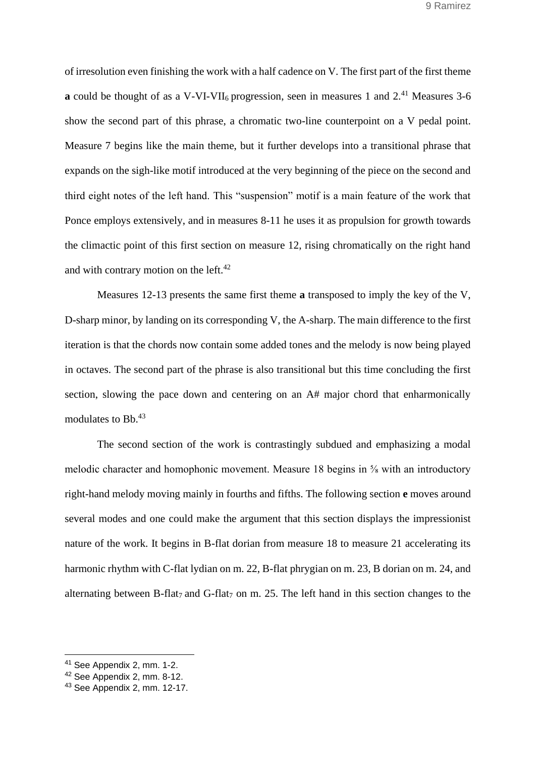of irresolution even finishing the work with a half cadence on V. The first part of the first theme **a** could be thought of as a V-VI-VII<sub>6</sub> progression, seen in measures 1 and 2.<sup>41</sup> Measures 3-6 show the second part of this phrase, a chromatic two-line counterpoint on a V pedal point. Measure 7 begins like the main theme, but it further develops into a transitional phrase that expands on the sigh-like motif introduced at the very beginning of the piece on the second and third eight notes of the left hand. This "suspension" motif is a main feature of the work that Ponce employs extensively, and in measures 8-11 he uses it as propulsion for growth towards the climactic point of this first section on measure 12, rising chromatically on the right hand and with contrary motion on the left.<sup>42</sup>

Measures 12-13 presents the same first theme **a** transposed to imply the key of the V, D-sharp minor, by landing on its corresponding V, the A-sharp. The main difference to the first iteration is that the chords now contain some added tones and the melody is now being played in octaves. The second part of the phrase is also transitional but this time concluding the first section, slowing the pace down and centering on an A# major chord that enharmonically modulates to Bb.<sup>43</sup>

The second section of the work is contrastingly subdued and emphasizing a modal melodic character and homophonic movement. Measure 18 begins in ⅝ with an introductory right-hand melody moving mainly in fourths and fifths. The following section **e** moves around several modes and one could make the argument that this section displays the impressionist nature of the work. It begins in B-flat dorian from measure 18 to measure 21 accelerating its harmonic rhythm with C-flat lydian on m. 22, B-flat phrygian on m. 23, B dorian on m. 24, and alternating between B-flat<sub>7</sub> and G-flat<sub>7</sub> on m. 25. The left hand in this section changes to the

<sup>41</sup> See Appendix 2, mm. 1-2.

<sup>42</sup> See Appendix 2, mm. 8-12.

<sup>43</sup> See Appendix 2, mm. 12-17.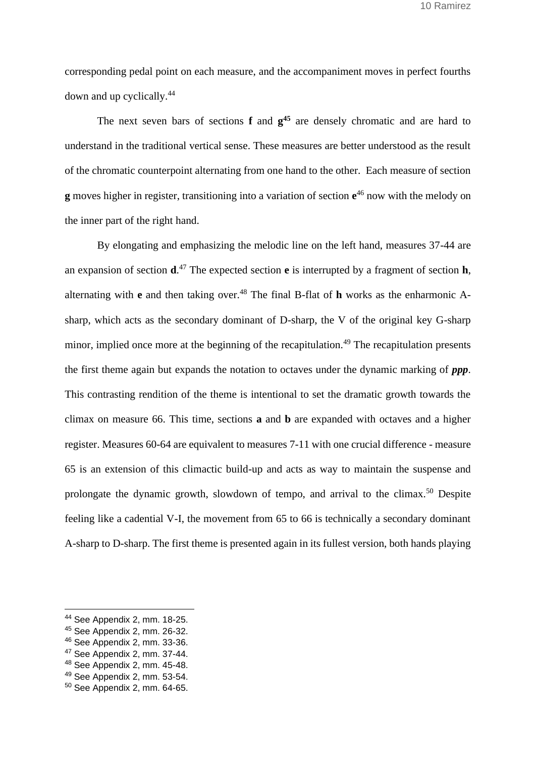corresponding pedal point on each measure, and the accompaniment moves in perfect fourths down and up cyclically.<sup>44</sup>

The next seven bars of sections **f** and **g <sup>45</sup>** are densely chromatic and are hard to understand in the traditional vertical sense. These measures are better understood as the result of the chromatic counterpoint alternating from one hand to the other. Each measure of section **g** moves higher in register, transitioning into a variation of section **e** <sup>46</sup> now with the melody on the inner part of the right hand.

By elongating and emphasizing the melodic line on the left hand, measures 37-44 are an expansion of section **d**. <sup>47</sup> The expected section **e** is interrupted by a fragment of section **h**, alternating with **e** and then taking over.<sup>48</sup> The final B-flat of **h** works as the enharmonic Asharp, which acts as the secondary dominant of D-sharp, the V of the original key G-sharp minor, implied once more at the beginning of the recapitulation.<sup>49</sup> The recapitulation presents the first theme again but expands the notation to octaves under the dynamic marking of *ppp*. This contrasting rendition of the theme is intentional to set the dramatic growth towards the climax on measure 66. This time, sections **a** and **b** are expanded with octaves and a higher register. Measures 60-64 are equivalent to measures 7-11 with one crucial difference - measure 65 is an extension of this climactic build-up and acts as way to maintain the suspense and prolongate the dynamic growth, slowdown of tempo, and arrival to the climax.<sup>50</sup> Despite feeling like a cadential V-I, the movement from 65 to 66 is technically a secondary dominant A-sharp to D-sharp. The first theme is presented again in its fullest version, both hands playing

<sup>44</sup> See Appendix 2, mm. 18-25.

<sup>45</sup> See Appendix 2, mm. 26-32.

<sup>46</sup> See Appendix 2, mm. 33-36.

<sup>47</sup> See Appendix 2, mm. 37-44.

<sup>48</sup> See Appendix 2, mm. 45-48.

<sup>49</sup> See Appendix 2, mm. 53-54.

<sup>50</sup> See Appendix 2, mm. 64-65.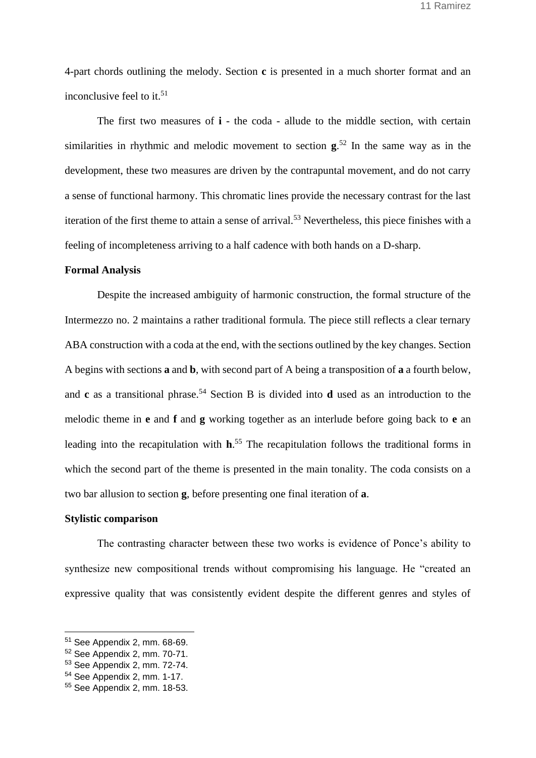4-part chords outlining the melody. Section **c** is presented in a much shorter format and an inconclusive feel to it.<sup>51</sup>

The first two measures of **i** - the coda - allude to the middle section, with certain similarities in rhythmic and melodic movement to section **g**. <sup>52</sup> In the same way as in the development, these two measures are driven by the contrapuntal movement, and do not carry a sense of functional harmony. This chromatic lines provide the necessary contrast for the last iteration of the first theme to attain a sense of arrival.<sup>53</sup> Nevertheless, this piece finishes with a feeling of incompleteness arriving to a half cadence with both hands on a D-sharp.

# **Formal Analysis**

Despite the increased ambiguity of harmonic construction, the formal structure of the Intermezzo no. 2 maintains a rather traditional formula. The piece still reflects a clear ternary ABA construction with a coda at the end, with the sections outlined by the key changes. Section A begins with sections **a** and **b**, with second part of A being a transposition of **a** a fourth below, and **c** as a transitional phrase.<sup>54</sup> Section B is divided into **d** used as an introduction to the melodic theme in **e** and **f** and **g** working together as an interlude before going back to **e** an leading into the recapitulation with **h**. <sup>55</sup> The recapitulation follows the traditional forms in which the second part of the theme is presented in the main tonality. The coda consists on a two bar allusion to section **g**, before presenting one final iteration of **a**.

# **Stylistic comparison**

The contrasting character between these two works is evidence of Ponce's ability to synthesize new compositional trends without compromising his language. He "created an expressive quality that was consistently evident despite the different genres and styles of

<sup>51</sup> See Appendix 2, mm. 68-69.

<sup>52</sup> See Appendix 2, mm. 70-71.

<sup>53</sup> See Appendix 2, mm. 72-74.

<sup>54</sup> See Appendix 2, mm. 1-17.

<sup>55</sup> See Appendix 2, mm. 18-53.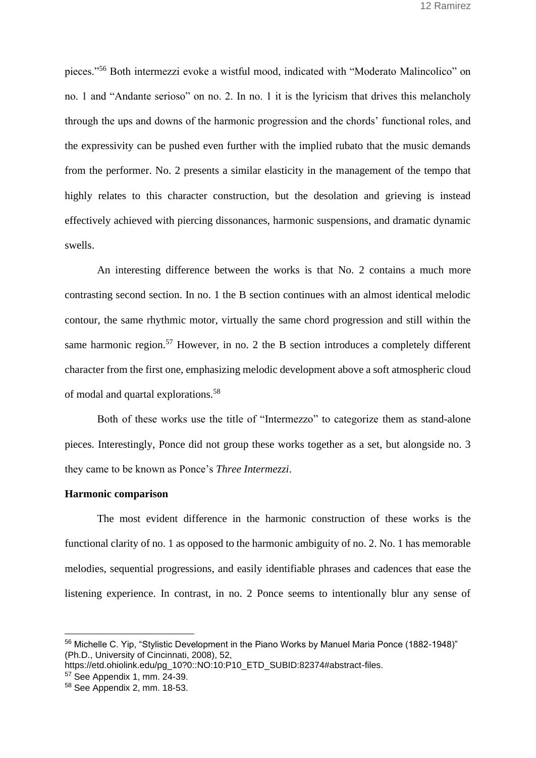pieces."<sup>56</sup> Both intermezzi evoke a wistful mood, indicated with "Moderato Malincolico" on no. 1 and "Andante serioso" on no. 2. In no. 1 it is the lyricism that drives this melancholy through the ups and downs of the harmonic progression and the chords' functional roles, and the expressivity can be pushed even further with the implied rubato that the music demands from the performer. No. 2 presents a similar elasticity in the management of the tempo that highly relates to this character construction, but the desolation and grieving is instead effectively achieved with piercing dissonances, harmonic suspensions, and dramatic dynamic swells.

An interesting difference between the works is that No. 2 contains a much more contrasting second section. In no. 1 the B section continues with an almost identical melodic contour, the same rhythmic motor, virtually the same chord progression and still within the same harmonic region.<sup>57</sup> However, in no. 2 the B section introduces a completely different character from the first one, emphasizing melodic development above a soft atmospheric cloud of modal and quartal explorations.<sup>58</sup>

Both of these works use the title of "Intermezzo" to categorize them as stand-alone pieces. Interestingly, Ponce did not group these works together as a set, but alongside no. 3 they came to be known as Ponce's *Three Intermezzi*.

### **Harmonic comparison**

The most evident difference in the harmonic construction of these works is the functional clarity of no. 1 as opposed to the harmonic ambiguity of no. 2. No. 1 has memorable melodies, sequential progressions, and easily identifiable phrases and cadences that ease the listening experience. In contrast, in no. 2 Ponce seems to intentionally blur any sense of

<sup>56</sup> [Michelle C. Yip, "Stylistic Development in the Piano Works by Manuel Maria Ponce \(1882-1948\)"](https://www.zotero.org/google-docs/?6anKzx)  [\(Ph.D., University of Cincinnati, 2008\), 52,](https://www.zotero.org/google-docs/?6anKzx) 

[https://etd.ohiolink.edu/pg\\_10?0::NO:10:P10\\_ETD\\_SUBID:82374#abstract-files.](https://www.zotero.org/google-docs/?6anKzx)

<sup>57</sup> See Appendix 1, mm. 24-39.

<sup>58</sup> See Appendix 2, mm. 18-53.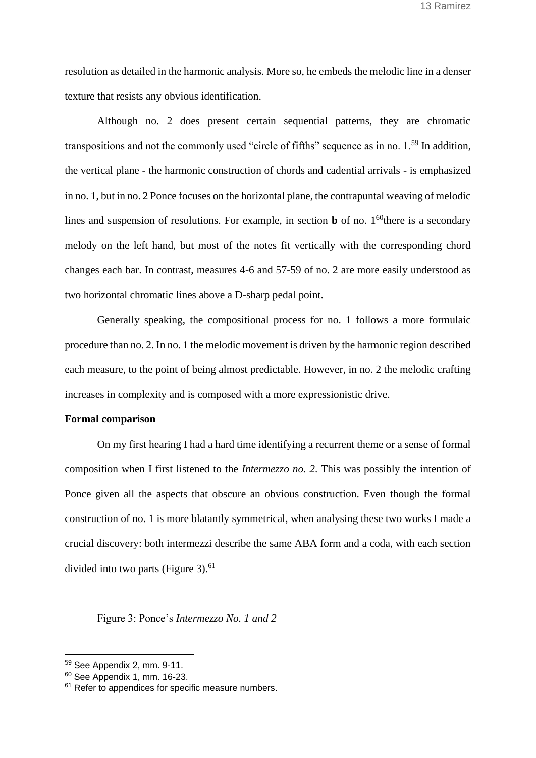resolution as detailed in the harmonic analysis. More so, he embeds the melodic line in a denser texture that resists any obvious identification.

Although no. 2 does present certain sequential patterns, they are chromatic transpositions and not the commonly used "circle of fifths" sequence as in no. 1.<sup>59</sup> In addition, the vertical plane - the harmonic construction of chords and cadential arrivals - is emphasized in no. 1, but in no. 2 Ponce focuses on the horizontal plane, the contrapuntal weaving of melodic lines and suspension of resolutions. For example, in section  $\bf{b}$  of no. 1<sup>60</sup>there is a secondary melody on the left hand, but most of the notes fit vertically with the corresponding chord changes each bar. In contrast, measures 4-6 and 57-59 of no. 2 are more easily understood as two horizontal chromatic lines above a D-sharp pedal point.

Generally speaking, the compositional process for no. 1 follows a more formulaic procedure than no. 2. In no. 1 the melodic movement is driven by the harmonic region described each measure, to the point of being almost predictable. However, in no. 2 the melodic crafting increases in complexity and is composed with a more expressionistic drive.

#### **Formal comparison**

On my first hearing I had a hard time identifying a recurrent theme or a sense of formal composition when I first listened to the *Intermezzo no. 2*. This was possibly the intention of Ponce given all the aspects that obscure an obvious construction. Even though the formal construction of no. 1 is more blatantly symmetrical, when analysing these two works I made a crucial discovery: both intermezzi describe the same ABA form and a coda, with each section divided into two parts (Figure 3). $61$ 

# Figure 3: Ponce's *Intermezzo No. 1 and 2*

<sup>59</sup> See Appendix 2, mm. 9-11.

<sup>60</sup> See Appendix 1, mm. 16-23.

<sup>&</sup>lt;sup>61</sup> Refer to appendices for specific measure numbers.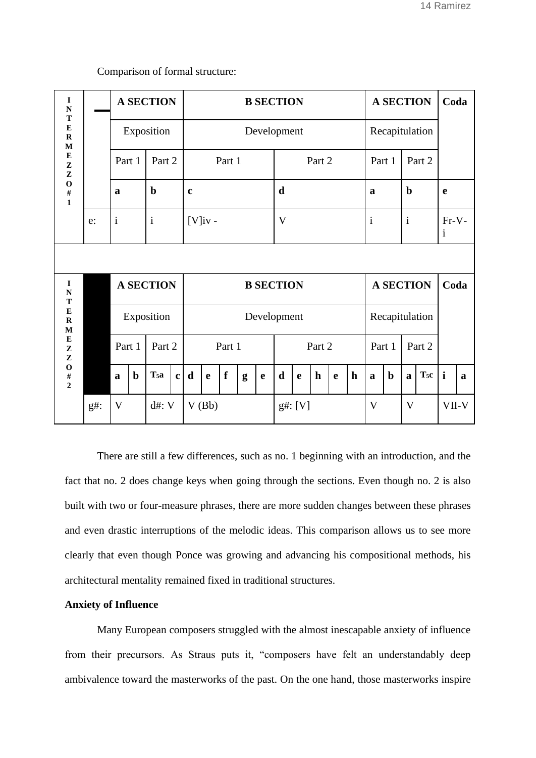| I<br>$\mathbf N$<br>T<br>E<br>$\mathbf R$<br>$\mathbf M$<br>${\bf E}$<br>${\bf z}$<br>${\bf z}$<br>$\mathbf{o}$<br>$\#$<br>$\mathbf{1}$   |        | <b>A SECTION</b>        |                  |              | <b>B SECTION</b> |              |             |   |             |             |              |             |                |                         | <b>A SECTION</b> |              |              |                       | Coda         |   |
|-------------------------------------------------------------------------------------------------------------------------------------------|--------|-------------------------|------------------|--------------|------------------|--------------|-------------|---|-------------|-------------|--------------|-------------|----------------|-------------------------|------------------|--------------|--------------|-----------------------|--------------|---|
|                                                                                                                                           |        | Exposition              |                  | Development  |                  |              |             |   |             |             |              |             | Recapitulation |                         |                  |              |              |                       |              |   |
|                                                                                                                                           |        | Part 1                  | Part 2           |              |                  | Part 1       |             |   |             |             | Part 2       |             |                |                         |                  | Part 1       | Part 2       |                       |              |   |
|                                                                                                                                           |        | a                       | $\mathbf b$      |              | $\mathbf c$      |              |             |   | $\mathbf d$ |             |              |             |                | a                       |                  | $\mathbf b$  |              | $\mathbf e$           |              |   |
|                                                                                                                                           | e:     | $\mathbf{i}$            | $\mathbf{i}$     |              | $[V]$ iv -       |              |             |   | V           |             |              |             |                | $\mathbf{i}$            |                  | $\mathbf{i}$ |              | Fr-V-<br>$\mathbf{i}$ |              |   |
|                                                                                                                                           |        |                         |                  |              |                  |              |             |   |             |             |              |             |                |                         |                  |              |              |                       |              |   |
| $\bf{I}$<br>${\bf N}$<br>T<br>E<br>$\mathbf R$<br>$\mathbf M$<br>${\bf E}$<br>$\mathbf{Z}$<br>Z<br>$\mathbf{o}$<br>$\#$<br>$\overline{2}$ |        | <b>A SECTION</b>        |                  |              | <b>B SECTION</b> |              |             |   |             |             |              |             |                | <b>A SECTION</b>        |                  |              |              | Coda                  |              |   |
|                                                                                                                                           |        | Exposition              |                  | Development  |                  |              |             |   |             |             |              |             | Recapitulation |                         |                  |              |              |                       |              |   |
|                                                                                                                                           |        | Part 1                  | Part 2           |              | Part 1           |              |             |   |             | Part 2      |              |             |                |                         | Part 1           |              | Part 2       |                       |              |   |
|                                                                                                                                           |        | $\mathbf b$<br>a        | T <sub>5</sub> a | $\mathbf{c}$ | $\mathbf d$      | $\mathbf{e}$ | $\mathbf f$ | g | $\mathbf e$ | $\mathbf d$ | $\mathbf{e}$ | $\mathbf h$ | $\mathbf{e}$   | $\mathbf h$             | $\mathbf{a}$     | $\mathbf b$  | $\mathbf{a}$ | $T_{5C}$              | $\mathbf{i}$ | a |
|                                                                                                                                           | $g#$ : | $\mathbf V$<br>$d\#: V$ |                  |              | $V$ $(Bb)$       |              |             |   |             | g#: [V]     |              |             |                | $\overline{\mathsf{V}}$ |                  | $\mathbf{V}$ |              |                       | VII-V        |   |

Comparison of formal structure:

There are still a few differences, such as no. 1 beginning with an introduction, and the fact that no. 2 does change keys when going through the sections. Even though no. 2 is also built with two or four-measure phrases, there are more sudden changes between these phrases and even drastic interruptions of the melodic ideas. This comparison allows us to see more clearly that even though Ponce was growing and advancing his compositional methods, his architectural mentality remained fixed in traditional structures.

### **Anxiety of Influence**

Many European composers struggled with the almost inescapable anxiety of influence from their precursors. As Straus puts it, "composers have felt an understandably deep ambivalence toward the masterworks of the past. On the one hand, those masterworks inspire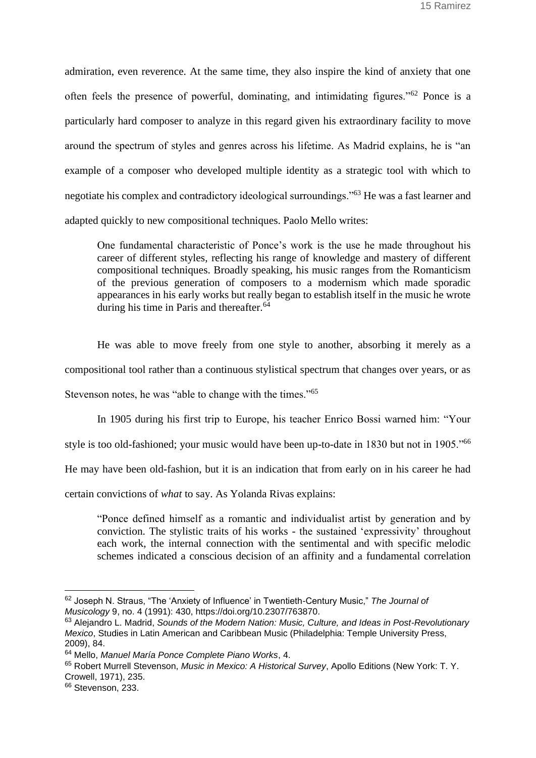admiration, even reverence. At the same time, they also inspire the kind of anxiety that one often feels the presence of powerful, dominating, and intimidating figures."<sup>62</sup> Ponce is a particularly hard composer to analyze in this regard given his extraordinary facility to move around the spectrum of styles and genres across his lifetime. As Madrid explains, he is "an example of a composer who developed multiple identity as a strategic tool with which to negotiate his complex and contradictory ideological surroundings."<sup>63</sup> He was a fast learner and adapted quickly to new compositional techniques. Paolo Mello writes:

One fundamental characteristic of Ponce's work is the use he made throughout his career of different styles, reflecting his range of knowledge and mastery of different compositional techniques. Broadly speaking, his music ranges from the Romanticism of the previous generation of composers to a modernism which made sporadic appearances in his early works but really began to establish itself in the music he wrote during his time in Paris and thereafter.<sup>64</sup>

He was able to move freely from one style to another, absorbing it merely as a compositional tool rather than a continuous stylistical spectrum that changes over years, or as Stevenson notes, he was "able to change with the times."<sup>65</sup>

In 1905 during his first trip to Europe, his teacher Enrico Bossi warned him: "Your

style is too old-fashioned; your music would have been up-to-date in 1830 but not in 1905."<sup>66</sup>

He may have been old-fashion, but it is an indication that from early on in his career he had

certain convictions of *what* to say. As Yolanda Rivas explains:

"Ponce defined himself as a romantic and individualist artist by generation and by conviction. The stylistic traits of his works - the sustained 'expressivity' throughout each work, the internal connection with the sentimental and with specific melodic schemes indicated a conscious decision of an affinity and a fundamental correlation

<sup>62</sup> [Joseph N. Straus, "The 'Anxiety of Influence' in Twentieth-Century Music,"](https://www.zotero.org/google-docs/?6FfCmM) *[The Journal of](https://www.zotero.org/google-docs/?6FfCmM)  [Musicology](https://www.zotero.org/google-docs/?6FfCmM)* [9, no. 4 \(1991\): 430, https://doi.org/10.2307/763870.](https://www.zotero.org/google-docs/?6FfCmM)

<sup>63</sup> [Alejandro L. Madrid,](https://www.zotero.org/google-docs/?uOkgF1) *[Sounds of the Modern Nation: Music, Culture, and Ideas in Post-Revolutionary](https://www.zotero.org/google-docs/?uOkgF1)  [Mexico](https://www.zotero.org/google-docs/?uOkgF1)*[, Studies in Latin American and Caribbean Music \(Philadelphia: Temple University Press,](https://www.zotero.org/google-docs/?uOkgF1)  [2009\), 84.](https://www.zotero.org/google-docs/?uOkgF1)

<sup>64</sup> Mell[o,](https://www.zotero.org/google-docs/?A6evsj) *[Manuel María Ponce Complete Piano Works](https://www.zotero.org/google-docs/?A6evsj)*[, 4.](https://www.zotero.org/google-docs/?A6evsj)

<sup>65</sup> [Robert Murrell Stevenson,](https://www.zotero.org/google-docs/?XGzZty) *[Music in Mexico: A Historical Survey](https://www.zotero.org/google-docs/?XGzZty)*[, Apollo Editions \(New York: T. Y.](https://www.zotero.org/google-docs/?XGzZty)  [Crowell, 1971\), 235.](https://www.zotero.org/google-docs/?XGzZty)

<sup>&</sup>lt;sup>66</sup> [Stevenson, 233.](https://www.zotero.org/google-docs/?4TnzZz)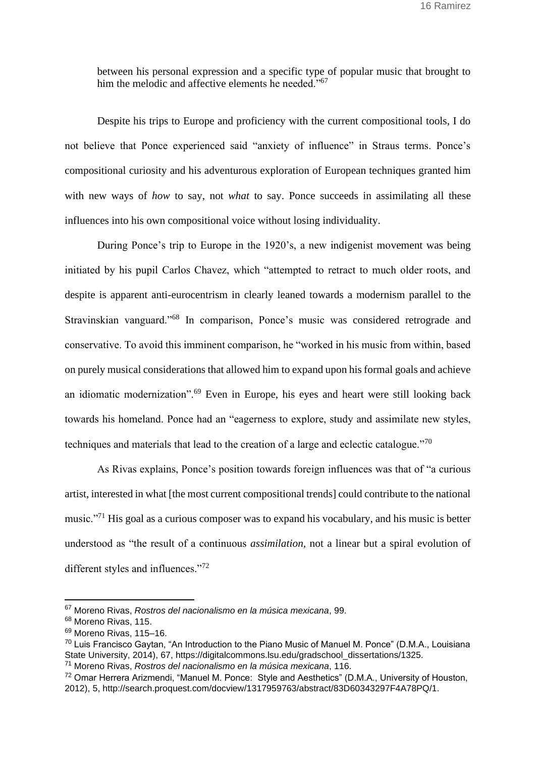between his personal expression and a specific type of popular music that brought to him the melodic and affective elements he needed."<sup>67</sup>

Despite his trips to Europe and proficiency with the current compositional tools, I do not believe that Ponce experienced said "anxiety of influence" in Straus terms. Ponce's compositional curiosity and his adventurous exploration of European techniques granted him with new ways of *how* to say, not *what* to say. Ponce succeeds in assimilating all these influences into his own compositional voice without losing individuality.

During Ponce's trip to Europe in the 1920's, a new indigenist movement was being initiated by his pupil Carlos Chavez, which "attempted to retract to much older roots, and despite is apparent anti-eurocentrism in clearly leaned towards a modernism parallel to the Stravinskian vanguard."<sup>68</sup> In comparison, Ponce's music was considered retrograde and conservative. To avoid this imminent comparison, he "worked in his music from within, based on purely musical considerations that allowed him to expand upon his formal goals and achieve an idiomatic modernization".<sup>69</sup> Even in Europe, his eyes and heart were still looking back towards his homeland. Ponce had an "eagerness to explore, study and assimilate new styles, techniques and materials that lead to the creation of a large and eclectic catalogue."<sup>70</sup>

As Rivas explains, Ponce's position towards foreign influences was that of "a curious artist, interested in what [the most current compositional trends] could contribute to the national music."<sup>71</sup> His goal as a curious composer was to expand his vocabulary, and his music is better understood as "the result of a continuous *assimilation,* not a linear but a spiral evolution of different styles and influences."<sup>72</sup>

<sup>67</sup> [Moreno Rivas,](https://www.zotero.org/google-docs/?2hC3uo) *[Rostros del nacionalismo en la música mexicana](https://www.zotero.org/google-docs/?2hC3uo)*[, 99.](https://www.zotero.org/google-docs/?2hC3uo)

<sup>68</sup> [Moreno Rivas, 115.](https://www.zotero.org/google-docs/?7tpkW4)

<sup>&</sup>lt;sup>69</sup> Moreno Rivas, 115-16.

<sup>70</sup> [Luis Francisco Gaytan, "An Introduction to the Piano Music of Manuel M. Ponce" \(D.M.A., Louisiana](https://www.zotero.org/google-docs/?Fo7Jzs)  [State University, 2014\), 67, https://digitalcommons.lsu.edu/gradschool\\_dissertations/1325.](https://www.zotero.org/google-docs/?Fo7Jzs)

<sup>71</sup> [Moreno Rivas,](https://www.zotero.org/google-docs/?j7S5T6) *[Rostros del nacionalismo en la música mexicana](https://www.zotero.org/google-docs/?j7S5T6)*[, 116.](https://www.zotero.org/google-docs/?j7S5T6)

<sup>72</sup> Omar Herrera Arizmendi, "Manuel M. Ponce: [Style and Aesthetics" \(D.M.A., University of Houston,](https://www.zotero.org/google-docs/?QIhkkC)  [2012\), 5, http://search.proquest.com/docview/1317959763/abstract/83D60343297F4A78PQ/1.](https://www.zotero.org/google-docs/?QIhkkC)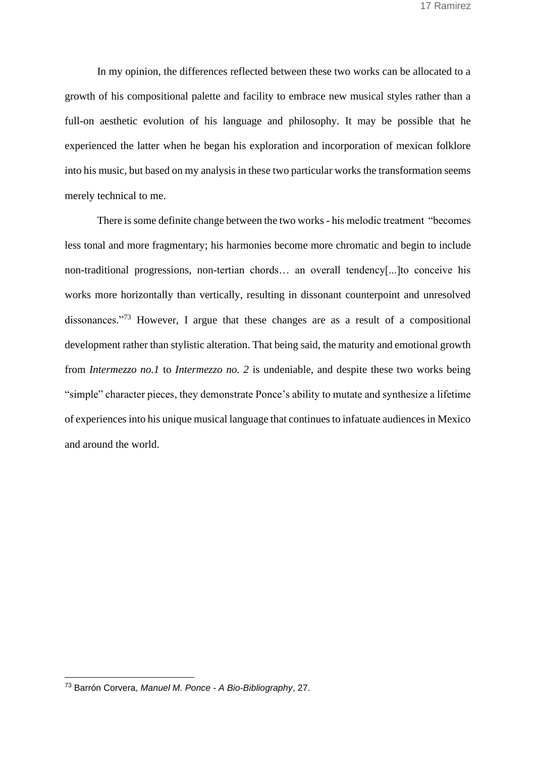In my opinion, the differences reflected between these two works can be allocated to a growth of his compositional palette and facility to embrace new musical styles rather than a full-on aesthetic evolution of his language and philosophy. It may be possible that he experienced the latter when he began his exploration and incorporation of mexican folklore into his music, but based on my analysis in these two particular works the transformation seems merely technical to me.

There is some definite change between the two works - his melodic treatment "becomes less tonal and more fragmentary; his harmonies become more chromatic and begin to include non-traditional progressions, non-tertian chords… an overall tendency[...]to conceive his works more horizontally than vertically, resulting in dissonant counterpoint and unresolved dissonances."<sup>73</sup> However, I argue that these changes are as a result of a compositional development rather than stylistic alteration. That being said, the maturity and emotional growth from *Intermezzo no.1* to *Intermezzo no. 2* is undeniable, and despite these two works being "simple" character pieces, they demonstrate Ponce's ability to mutate and synthesize a lifetime of experiences into his unique musical language that continues to infatuate audiences in Mexico and around the world.

<sup>73</sup> [Barrón Corvera,](https://www.zotero.org/google-docs/?JMUJHB) *[Manuel M. Ponce -](https://www.zotero.org/google-docs/?JMUJHB) A Bio-Bibliography*[, 27.](https://www.zotero.org/google-docs/?JMUJHB)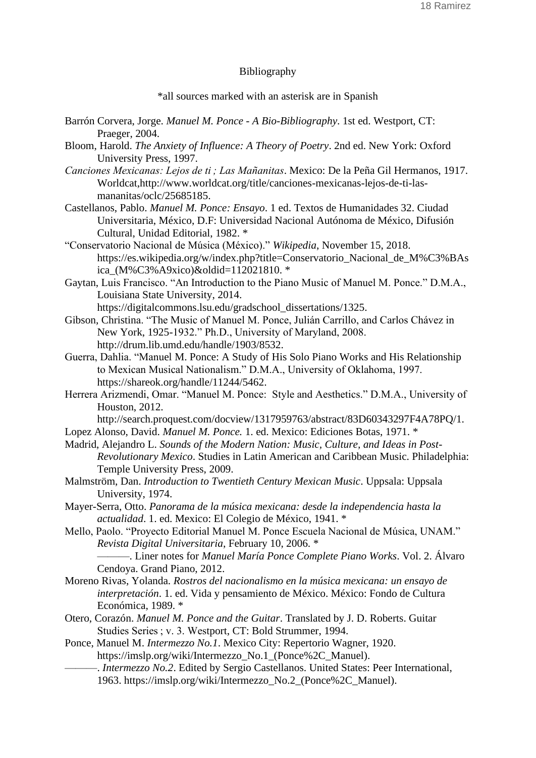# Bibliography

\*all sources marked with an asterisk are in Spanish

- [Barrón Corvera, Jorge.](https://www.zotero.org/google-docs/?l25KxU) *Manuel M. Ponce - [A Bio-Bibliography](https://www.zotero.org/google-docs/?l25KxU)*[. 1st ed. Westport, CT:](https://www.zotero.org/google-docs/?l25KxU)  [Praeger, 2004.](https://www.zotero.org/google-docs/?l25KxU)
- [Bloom, Harold.](https://www.zotero.org/google-docs/?l25KxU) *[The Anxiety of Influence: A Theory of Poetry](https://www.zotero.org/google-docs/?l25KxU)*[. 2nd ed. New York: Oxford](https://www.zotero.org/google-docs/?l25KxU)  [University Press, 1997.](https://www.zotero.org/google-docs/?l25KxU)
- *[Canciones Mexicanas: Lejos de ti ; Las Mañanitas](https://www.zotero.org/google-docs/?l25KxU)*[. Mexico: De la Peña Gil Hermanos, 1917.](https://www.zotero.org/google-docs/?l25KxU)  [Worldcat,http://www.worldcat.org/title/canciones-mexicanas-lejos-de-ti-las](https://www.zotero.org/google-docs/?l25KxU)[mananitas/oclc/25685185.](https://www.zotero.org/google-docs/?l25KxU)
- [Castellanos, Pablo.](https://www.zotero.org/google-docs/?l25KxU) *[Manuel M. Ponce: Ensayo](https://www.zotero.org/google-docs/?l25KxU)*[. 1 ed. Textos de Humanidades 32. Ciudad](https://www.zotero.org/google-docs/?l25KxU)  [Universitaria, México, D.F: Universidad Nacional Autónoma de México, Difusión](https://www.zotero.org/google-docs/?l25KxU)  [Cultural, Unidad Editorial, 1982.](https://www.zotero.org/google-docs/?l25KxU) \*
- ["Conservatorio Nacional de Música \(México\)."](https://www.zotero.org/google-docs/?l25KxU) *[Wikipedia](https://www.zotero.org/google-docs/?l25KxU)*[, November 15, 2018.](https://www.zotero.org/google-docs/?l25KxU)  [https://es.wikipedia.org/w/index.php?title=Conservatorio\\_Nacional\\_de\\_M%C3%BAs](https://www.zotero.org/google-docs/?l25KxU) [ica\\_\(M%C3%A9xico\)&oldid=112021810.](https://www.zotero.org/google-docs/?l25KxU) \*
- Gaytan, [Luis Francisco. "An Introduction to the Piano Music of Manuel M. Ponce." D.M.A.,](https://www.zotero.org/google-docs/?l25KxU)  [Louisiana State University, 2014.](https://www.zotero.org/google-docs/?l25KxU)

[https://digitalcommons.lsu.edu/gradschool\\_dissertations/1325.](https://www.zotero.org/google-docs/?l25KxU)

- [Gibson, Christina. "The Music of Manuel M. Ponce, Julián Carrillo, and Carlos Chávez in](https://www.zotero.org/google-docs/?l25KxU)  [New York, 1925-1932." Ph.D., University of Maryland, 2008.](https://www.zotero.org/google-docs/?l25KxU)  [http://drum.lib.umd.edu/handle/1903/8532.](https://www.zotero.org/google-docs/?l25KxU)
- [Guerra, Dahlia. "Manuel M. Ponce: A Study of His Solo Piano Works and His Relationship](https://www.zotero.org/google-docs/?l25KxU)  [to Mexican Musical Nationalism." D.M.A., University of Oklahoma, 1997.](https://www.zotero.org/google-docs/?l25KxU)  [https://shareok.org/handle/11244/5462.](https://www.zotero.org/google-docs/?l25KxU)
- [Herrera Arizmendi, Omar. "Manuel M. Ponce:](https://www.zotero.org/google-docs/?l25KxU) Style and Aesthetics." D.M.A., University of [Houston, 2012.](https://www.zotero.org/google-docs/?l25KxU)

[http://search.proquest.com/docview/1317959763/abstract/83D60343297F4A78PQ/1.](https://www.zotero.org/google-docs/?l25KxU)

- [Lopez Alonso,](https://www.zotero.org/google-docs/?l25KxU) David. *[Manuel M. Ponce.](https://www.zotero.org/google-docs/?l25KxU)* [1. ed. Mexico: Ediciones Botas, 1971.](https://www.zotero.org/google-docs/?l25KxU) \*
- [Madrid, Alejandro L.](https://www.zotero.org/google-docs/?l25KxU) *[Sounds of the Modern Nation: Music, Culture, and Ideas in Post-](https://www.zotero.org/google-docs/?l25KxU)[Revolutionary Mexico](https://www.zotero.org/google-docs/?l25KxU)*[. Studies in Latin American and Caribbean Music. Philadelphia:](https://www.zotero.org/google-docs/?l25KxU)  [Temple University Press, 2009.](https://www.zotero.org/google-docs/?l25KxU)
- [Malmström, Dan.](https://www.zotero.org/google-docs/?l25KxU) *[Introduction to Twentieth Century Mexican Music](https://www.zotero.org/google-docs/?l25KxU)*[. Uppsala: Uppsala](https://www.zotero.org/google-docs/?l25KxU)  [University, 1974.](https://www.zotero.org/google-docs/?l25KxU)
- [Mayer-Serra, Otto.](https://www.zotero.org/google-docs/?l25KxU) *[Panorama de la música mexicana: desde la independencia hasta la](https://www.zotero.org/google-docs/?l25KxU)  [actualidad](https://www.zotero.org/google-docs/?l25KxU)*[. 1. ed. Mexico: El Colegio de México, 1941.](https://www.zotero.org/google-docs/?l25KxU) \*
- Mello, Paolo. "Proyecto Editorial [Manuel M. Ponce Escuela Nacional de Música, UNAM."](https://www.zotero.org/google-docs/?l25KxU)  *[Revista Digital Universitaria](https://www.zotero.org/google-docs/?l25KxU)*[, February 10, 2006.](https://www.zotero.org/google-docs/?l25KxU) \*

[———. Liner notes for](https://www.zotero.org/google-docs/?l25KxU) *[Manuel María Ponce Complete Piano Works](https://www.zotero.org/google-docs/?l25KxU)*[. Vol. 2. Álvaro](https://www.zotero.org/google-docs/?l25KxU)  [Cendoya. Grand Piano, 2012.](https://www.zotero.org/google-docs/?l25KxU)

- [Moreno Rivas, Yolanda.](https://www.zotero.org/google-docs/?l25KxU) *[Rostros del nacionalismo en la música mexicana: un ensayo de](https://www.zotero.org/google-docs/?l25KxU)  [interpretación](https://www.zotero.org/google-docs/?l25KxU)*[. 1. ed. Vida y pensamiento de México. México: Fondo de Cultura](https://www.zotero.org/google-docs/?l25KxU)  [Económica, 1989.](https://www.zotero.org/google-docs/?l25KxU) \*
- [Otero, Corazón.](https://www.zotero.org/google-docs/?l25KxU) *[Manuel M. Ponce and the Guitar](https://www.zotero.org/google-docs/?l25KxU)*[. Translated by J. D. Roberts. Guitar](https://www.zotero.org/google-docs/?l25KxU)  [Studies Series ; v. 3. Westport, CT: Bold Strummer, 1994.](https://www.zotero.org/google-docs/?l25KxU)
- [Ponce, Manuel M.](https://www.zotero.org/google-docs/?l25KxU) *[Intermezzo No.1](https://www.zotero.org/google-docs/?l25KxU)*[. Mexico City: Repertorio Wagner, 1920.](https://www.zotero.org/google-docs/?l25KxU)  [https://imslp.org/wiki/Intermezzo\\_No.1\\_\(Ponce%2C\\_Manuel\).](https://www.zotero.org/google-docs/?l25KxU)
	- [———.](https://www.zotero.org/google-docs/?l25KxU) *[Intermezzo No.2](https://www.zotero.org/google-docs/?l25KxU)*[. Edited by Sergio Castellanos. United States: Peer International,](https://www.zotero.org/google-docs/?l25KxU)  [1963. https://imslp.org/wiki/Intermezzo\\_No.2\\_\(Ponce%2C\\_Manuel\).](https://www.zotero.org/google-docs/?l25KxU)